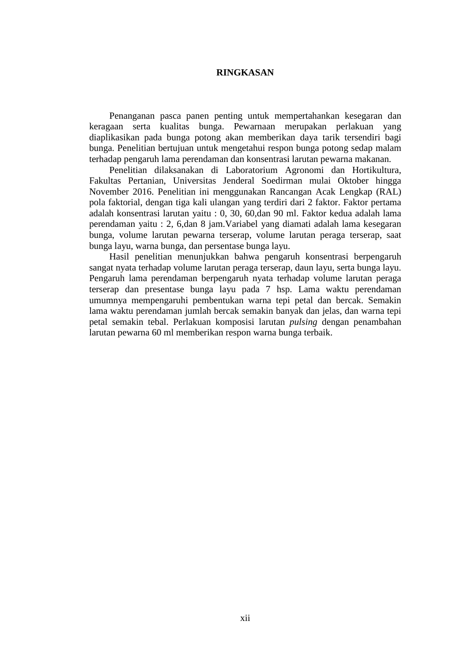## **RINGKASAN**

Penanganan pasca panen penting untuk mempertahankan kesegaran dan keragaan serta kualitas bunga. Pewarnaan merupakan perlakuan yang diaplikasikan pada bunga potong akan memberikan daya tarik tersendiri bagi bunga. Penelitian bertujuan untuk mengetahui respon bunga potong sedap malam terhadap pengaruh lama perendaman dan konsentrasi larutan pewarna makanan.

Penelitian dilaksanakan di Laboratorium Agronomi dan Hortikultura, Fakultas Pertanian, Universitas Jenderal Soedirman mulai Oktober hingga November 2016. Penelitian ini menggunakan Rancangan Acak Lengkap (RAL) pola faktorial, dengan tiga kali ulangan yang terdiri dari 2 faktor. Faktor pertama adalah konsentrasi larutan yaitu : 0, 30, 60,dan 90 ml. Faktor kedua adalah lama perendaman yaitu : 2, 6,dan 8 jam.Variabel yang diamati adalah lama kesegaran bunga, volume larutan pewarna terserap, volume larutan peraga terserap, saat bunga layu, warna bunga, dan persentase bunga layu.

Hasil penelitian menunjukkan bahwa pengaruh konsentrasi berpengaruh sangat nyata terhadap volume larutan peraga terserap, daun layu, serta bunga layu. Pengaruh lama perendaman berpengaruh nyata terhadap volume larutan peraga terserap dan presentase bunga layu pada 7 hsp. Lama waktu perendaman umumnya mempengaruhi pembentukan warna tepi petal dan bercak. Semakin lama waktu perendaman jumlah bercak semakin banyak dan jelas, dan warna tepi petal semakin tebal. Perlakuan komposisi larutan *pulsing* dengan penambahan larutan pewarna 60 ml memberikan respon warna bunga terbaik.